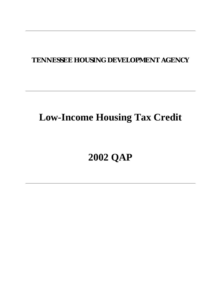## **TENNESSEE HOUSING DEVELOPMENT AGENCY**

# **Low-Income Housing Tax Credit**

# **2002 QAP**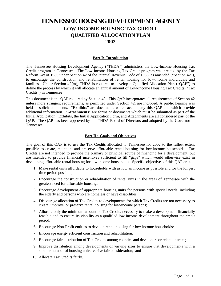### **TENNESSEE HOUSING DEVELOPMENT AGENCY LOW-INCOME HOUSING TAX CREDIT QUALIFIED ALLOCATION PLAN 2002**

#### **Part I: Introduction**

The Tennessee Housing Development Agency ("THDA") administers the Low-Income Housing Tax Credit program in Tennessee. The Low-Income Housing Tax Credit program was created by the Tax Reform Act of 1986 under Section 42 of the Internal Revenue Code of 1986, as amended ("Section 42"), to encourage the construction and rehabilitation of rental housing for low-income individuals and families. Under Section 42(m), THDA is required to develop a Qualified Allocation Plan ("QAP") to define the process by which it will allocate an annual amount of Low-Income Housing Tax Credits ("Tax Credits") in Tennessee.

This document is the QAP required by Section 42. This QAP incorporates all requirements of Section 42 unless more stringent requirements, as permitted under Section 42, are included. A public hearing was held to solicit comments. "**Exhibits**" are documents which accompany this QAP and which provide additional information. "**Attachments**" are forms or documents which must be submitted as part of the Initial Application. Exhibits, the Initial Application Form, and Attachments are all considered part of the QAP. The QAP has been approved by the THDA Board of Directors and adopted by the Governor of Tennessee.

#### **Part II: Goals and Objectives**

The goal of this QAP is to use the Tax Credits allocated to Tennessee for 2002 to the fullest extent possible to create, maintain, and preserve affordable rental housing for low-income households. Tax Credits are not intended to provide the primary or principal source of financing for a development, but are intended to provide financial incentives sufficient to fill "gaps" which would otherwise exist in developing affordable rental housing for low income households. Specific objectives of this QAP are to:

- 1. Make rental units affordable to households with as low an income as possible and for the longest time period possible;
- 2. Encourage the construction or rehabilitation of rental units in the areas of Tennessee with the greatest need for affordable housing;
- 3. Encourage development of appropriate housing units for persons with special needs, including the elderly and persons who are homeless or have disabilities;
- 4. Discourage allocation of Tax Credits to developments for which Tax Credits are not necessary to create, improve, or preserve rental housing for low-income persons;
- 5. Allocate only the minimum amount of Tax Credits necessary to make a development financially feasible and to ensure its viability as a qualified low-income development throughout the credit period;
- 6. Encourage Non-Profit entities to develop rental housing for low-income households;
- 7. Encourage energy efficient construction and rehabilitation;
- 8. Encourage fair distribution of Tax Credits among counties and developers or related parties;
- 9. Improve distribution among developments of varying sizes to ensure that developments with a smaller number of housing units receive fair consideration; and
- 10. Allocate Tax Credits fairly.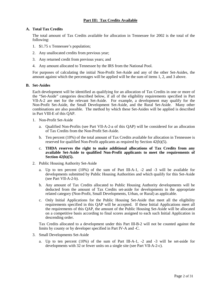#### **Part III: Tax Credits Available**

#### **A. Total Tax Credits**

The total amount of Tax Credits available for allocation in Tennessee for 2002 is the total of the following:

- 1. \$1.75 x Tennessee's population;
- 2. Any unallocated credits from previous year;
- 3. Any returned credit from previous years; and
- 4. Any amount allocated to Tennessee by the IRS from the National Pool.

For purposes of calculating the initial Non-Profit Set-Aside and any of the other Set-Asides, the amount against which the percentages will be applied will be the sum of items 1, 2, and 3 above.

#### **B. Set-Asides**

Each development will be identified as qualifying for an allocation of Tax Credits in one or more of the "Set-Aside" categories described below, if all of the eligibility requirements specified in Part VII-A-2 are met for the relevant Set-Aside. For example, a development may qualify for the Non-Profit Set-Aside, the Small Development Set-Aside, and the Rural Set-Aside. Many other combinations are also possible. The method by which these Set-Asides will be applied is described in Part VIII-E of this QAP.

- 1. Non-Profit Set-Aside
	- a. Qualified Non-Profits (see Part VII-A-2-a of this QAP) will be considered for an allocation of Tax Credits from the Non-Profit Set-Aside.
	- b. Ten percent (10%) of the total amount of Tax Credits available for allocation in Tennessee is reserved for qualified Non-Profit applicants as required by Section 42(h)(5).
	- c. **THDA reserves the right to make additional allocations of Tax Credits from any available Set-Aside to qualified Non-Profit applicants to meet the requirements of Section 42(h)(5).**
- 2. Public Housing Authority Set-Aside
	- a. Up to ten percent (10%) of the sum of Part III-A-1, -2 and -3 will be available for developments submitted by Public Housing Authorities and which qualify for this Set-Aside (see Part VII-A-2-b).
	- b. Any amount of Tax Credits allocated to Public Housing Authority developments will be deducted from the amount of Tax Credits set-aside for developments in the appropriate related category (Non-Profit, Small Developments, Urban, or Rural) as applicable.
	- c. Only Initial Applications for the Public Housing Set-Aside that meet all the eligibility requirements specified in this QAP will be accepted. If these Initial Applications meet all the requirements of this QAP, the amount of the Public Housing Set-Aside will be allocated on a competitive basis according to final scores assigned to each such Initial Application in descending order.

Tax Credits allocated to a development under this Part III-B-2 will not be counted against the limits by county or by developer specified in Part IV-A and -C.

- 3. Small Developments Set-Aside
	- a. Up to ten percent (10%) of the sum of Part III-A-1, -2 and -3 will be set-aside for developments with 32 or fewer units on a single site (see Part VII-A-2-c).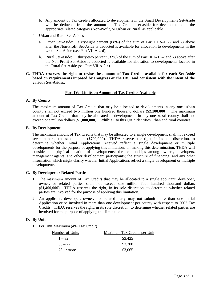- b. Any amount of Tax Credits allocated to developments in the Small Developments Set-Aside will be deducted from the amount of Tax Credits set-aside for developments in the appropriate related category (Non-Profit, or Urban or Rural, as applicable).
- 4. Urban and Rural Set-Asides
	- a. Urban Set-Aside: sixty-eight percent (68%) of the sum of Part III A-1, -2 and -3 above after the Non-Profit Set-Aside is deducted is available for allocation to developments in the Urban Set-Aside (see Part VII-A-2-d);
	- b. Rural Set-Aside: thirty-two percent (32%) of the sum of Part III A-1, -2 and -3 above after the Non-Profit Set-Aside is deducted is available for allocation to developments located in the Rural Set-Aside (see Part VII-A-2-e).
- **C. THDA reserves the right to revise the amount of Tax Credits available for each Set-Aside based on requirements imposed by Congress or the IRS, and consistent with the intent of the various Set-Asides.**

#### **Part IV: Limits on Amount of Tax Credits Available**

#### **A. By County**

The maximum amount of Tax Credits that may be allocated to developments in any one **urban** county shall not exceed two million one hundred thousand dollars (**\$2,100,000**). The maximum amount of Tax Credits that may be allocated to developments in any one **rural** county shall not exceed one million dollars (**\$1,000,000**). **Exhibit 1** to this QAP identifies urban and rural counties.

#### **B. By Development**

The maximum amount of Tax Credits that may be allocated to a single development shall not exceed seven hundred thousand dollars (**\$700,000**). THDA reserves the right, in its sole discretion, to determine whether Initial Applications received reflect a single development or multiple developments for the purpose of applying this limitation. In making this determination, THDA will consider the physical location of developments; the relationships among owners, developers, management agents, and other development participants; the structure of financing; and any other information which might clarify whether Initial Applications reflect a single development or multiple developments.

#### **C. By Developer or Related Parties**

- 1. The maximum amount of Tax Credits that may be allocated to a single applicant, developer, owner, or related parties shall not exceed one million four hundred thousand dollars (**\$1,400,000**)**.** THDA reserves the right, in its sole discretion, to determine whether related parties are involved for the purpose of applying this limitation.
- 2. An applicant, developer, owner, or related party may not submit more than one Initial Application or be involved in more than one development per county with respect to 2002 Tax Credits. THDA reserves the right, in its sole discretion, to determine whether related parties are involved for the purpose of applying this limitation.

#### **D. By Unit**

1. Per Unit Maximum (4% Tax Credit)

| Number of Units | Maximum Tax Credits per Unit |
|-----------------|------------------------------|
| $1 - 32$        | \$3,425                      |
| $33 - 72$       | \$3,200                      |
| 73 or more      | \$3,065                      |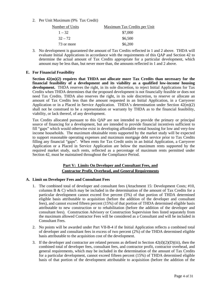2. Per Unit Maximum (9% Tax Credit)

| Number of Units | Maximum Tax Credits per Unit |
|-----------------|------------------------------|
| $1 - 32$        | \$7,000                      |
| $32 - 72$       | \$6,500                      |
| 73 or more      | \$6,200                      |

3. No development is guaranteed the amount of Tax Credits reflected in 1 and 2 above. THDA will evaluate Initial Applications in accordance with the requirements of this QAP and Section 42 to determine the actual amount of Tax Credits appropriate for a particular development, which amount may be less than, but never more than, the amounts reflected in 1 and 2 above.

#### **E. For Financial Feasibility**

**Section 42(m)(2) requires that THDA not allocate more Tax Credits than necessary for the financial feasibility of a development and its viability as a qualified low-income housing** development. THDA reserves the right, in its sole discretion, to reject Initial Applications for Tax Credits when THDA determines that the proposed development is not financially feasible or does not need Tax Credits. THDA also reserves the right, in its sole discretion, to reserve or allocate an amount of Tax Credits less than the amount requested in an Initial Application, in a Carryover Application or in a Placed in Service Application. THDA's determination under Section 42(m)(2) shall not be construed to be a representation or warranty by THDA as to the financial feasibility, viability, or lack thereof, of any development.

Tax Credits allocated pursuant to this QAP are not intended to provide the primary or principal source of financing for a development, but are intended to provide financial incentives sufficient to fill "gaps" which would otherwise exist in developing affordable rental housing for low and very-low income households. The maximum obtainable rents supported by the market study will be expected to support reasonable operating expenses and maximum mortgage debt service prior to Tax Credits filling any financial "gaps". When rents for Tax Credit units in an Initial Application, a Carryover Application or a Placed in Service Application are below the maximum rents supported by the required market study, such rents, reflected as a percentage of maximum rents permitted under Section 42, must be maintained throughout the Compliance Period.

#### **Part V: Limits On Developer and Consultant Fees, and Contractor Profit, Overhead, and General Requirements**

#### **A. Limit on Developer Fees and Consultant Fees**

- 1. The combined total of developer and consultant fees (Attachment 15: Development Costs; #10, columns B  $\&$  C) which may be included in the determination of the amount of Tax Credits for a particular development cannot exceed five percent (5%) of that portion of THDA determined eligible basis attributable to acquisition (before the addition of the developer and consultant fees), and cannot exceed fifteen percent (15%) of that portion of THDA determined eligible basis attributable to new construction or to rehabilitation (before the addition of the developer and consultant fees). Construction Advisory or Construction Supervision fees listed separately from the maximum allowed Contractor Fees will be considered as a Consultant and will be included in Consultant Fees.
- 2. No points will be awarded under Part VII-B-4 if the Initial Application reflects a combined total of developer and consultant fees in excess of two percent (2%) of the THDA determined eligible basis attributable to the acquisition cost of the development.
- 3. If the developer and contractor are related persons as defined in Section  $42(d)(2)(D)(iii)$ , then the combined total of developer fees, consultant fees, and contractor profit, contractor overhead, and general requirements, which may be included in the determination of the amount of Tax Credits for a particular development, cannot exceed fifteen percent (15%) of THDA determined eligible basis of that portion of the development attributable to acquisition (before the addition of the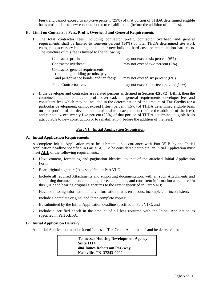fees), and cannot exceed twenty-five percent (25%) of that portion of THDA determined eligible basis attributable to new construction or to rehabilitation (before the addition of the fees).

#### **B. Limit on Contractor Fees, Profit, Overhead and General Requirements**

1. The total contractor fees, including contractor profit, contractor overhead and general requirements shall be limited to fourteen percent (14%) of total THDA determined site work costs, plus accessory buildings plus either new building hard costs or rehabilitation hard costs. The structure of this fee is limited to the following:

| Contractor profit:                                                                                               | may not exceed six percent $(6\%)$    |
|------------------------------------------------------------------------------------------------------------------|---------------------------------------|
| Contractor overhead:                                                                                             | may not exceed two percent $(2\%)$    |
| Contractor general requirements<br>(including building permits, payment<br>and performance bonds, and tap fees): | may not exceed six percent $(6%)$     |
| <b>Total Contractor fees</b>                                                                                     | may not exceed fourteen percent (14%) |

2. If the developer and contractor are related persons as defined in Section  $42(d)(2)(D)(iii)$ , then the combined total for contractor profit, overhead, and general requirements, developer fees and consultant fees which may be included in the determination of the amount of Tax Credits for a particular development, cannot exceed fifteen percent (15%) of THDA determined eligible basis on that portion of the development attributable to acquisition (before the addition of the fees), and cannot exceed twenty-five percent (25%) of that portion of THDA determined eligible basis attributable to new construction or to rehabilitation (before the addition of the fees).

#### **Part VI: Initial Application Submission**

#### **A. Initial Application Requirements**

A complete Initial Application must be submitted in accordance with Part VI-B by the Initial Application deadline specified in Part VI-C. To be considered complete, an Initial Application must meet **ALL** of the following requirements:

- 1. Have content, formatting and pagination identical to that of the attached Initial Application Form;
- 2. Bear original signature(s) as specified in Part VI-D;
- 3. Include all required Attachments and supporting documentation, with all such Attachments and supporting documentation containing correct, complete, and consistent information as required in this QAP and bearing original signatures to the extent specified in Part VI-D;
- 4. Have no missing information or any information that is erroneous, incomplete or inconsistent;
- 5. Include a complete original and three complete copies;
- 6. Be submitted by the Initial Application deadline specified in Part VI-C; and
- 7. Include a certified check in the amount of all fees required with the Initial Application as specified in Part XIII-A.

#### **B. Initial Application Delivery**

An Initial Application must be identified as a "Tax Credit Application" and be delivered to:

**Tennessee Housing Development Agency Suite 1114 404 James Robertson Parkway Nashville, TN 37243-0900**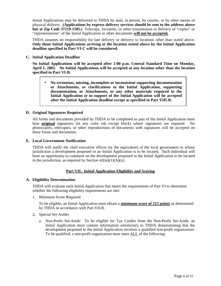Initial Applications may be delivered to THDA by mail, in person, by courier, or by other means of physical delivery. **(Applications by express delivery services should be sent to the address above but at Zip Code 37219-1505.)** Telecopy, facsimile, or other transmission or delivery of "copies" or "representations" of the Initial Application or other documents **will not be accepted.**

THDA assumes no responsibility for late delivery or delivery to locations other than stated above. **Only those Initial Applications arriving at the location stated above by the Initial Application deadline specified in Part VI-C will be considered.**

#### **C. Initial Application Deadline**

**No Initial Applications will be accepted after 1:00 p.m. Central Standard Time on Monday, April 1, 2002. No Initial Applications will be accepted at any location other than the location specified in Part VI-B.**

• **No erroneous, missing, incomplete or inconsistent supporting documentation or Attachments, or clarifications to the Initial Application, supporting documentation, or Attachments, or any other materials required in the Initial Application or in support of the Initial Application will be accepted after the Initial Application deadline except as specified in Part VIII-B.**

#### **D. Original Signatures Required**

All forms and documents provided by THDA to be completed as part of the Initial Application must bear **original** signatures (in any color ink except black) where signatures are required. No photocopies, telecopies, or other reproductions of documents with signatures will be accepted on these forms and documents.

#### **E. Local Government Notification**

THDA will notify the chief executive officer (or the equivalent) of the local government in whose jurisdiction a development proposed in an Initial Application is to be located. Such individual will have an opportunity to comment on the development proposed in the Initial Application to be located in the jurisdiction, as required by Section  $42(m)(1)(A)(ii)$ .

#### **Part VII: Initial Application Eligibility and Scoring**

#### **A. Eligibility Determination**

THDA will evaluate each Initial Application that meets the requirements of Part VI to determine whether the following eligibility requirements are met:

1. Minimum Score Required

To be eligible, an Initial Application must obtain a **minimum score of 215 points** as determined by THDA in accordance with Part VII-B.

- 2**.** Special Set-Asides
	- a. Non-Profit Set-Aside: To be eligible for Tax Credits from the Non-Profit Set-Aside, an Initial Application must contain information satisfactory to THDA demonstrating that the development proposed in the Initial Application involves a qualified non-profit organization. To be qualified, a non-profit organization must meet ALL of the following: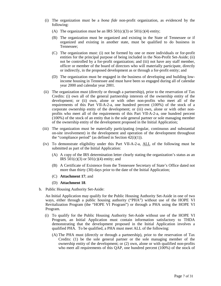- (i) The organization must be a *bona fide* non-profit organization, as evidenced by the following:
	- (A) The organization must be an IRS  $501(c)(3)$  or  $501(c)(4)$  entity;
	- (B) The organization must be organized and existing in the State of Tennessee or if organized and existing in another state, must be qualified to do business in Tennessee;
	- (C) The organization must: (i) not be formed by one or more individuals or for-profit entities for the principal purpose of being included in the Non-Profit Set-Aside; (ii) not be controlled by a for-profit organization; and (iii) not have any staff member, officer or member of the board of directors who will materially participate, directly or indirectly, in the proposed development as or through a for-profit entity; and
	- (D) The organization must be engaged in the business of developing and building lowincome housing in Tennessee and must have been so engaged during all of calendar year 2000 and calendar year 2001.
- (ii) The organization must (directly or through a partnership), prior to the reservation of Tax Credits: (i) own all of the general partnership interests of the ownership entity of the development; or (ii) own, alone or with other non-profits who meet all of the requirements of this Part VII-A-2-a, one hundred percent (100%) of the stock of a corporate ownership entity of the development; or (iii) own, alone or with other nonprofits who meet all of the requirements of this Part VII-A-2-a, one hundred percent (100%) of the stock of an entity that is the sole general partner or sole managing member of the ownership entity of the development proposed in the Initial Application;
- (iii) The organization must be materially participating (regular, continuous and substantial on-site involvement) in the development and operation of the development throughout the "compliance period" (as defined in Section  $42(i)(1)$ ).
- (iv) To demonstrate eligibility under this Part VII-A-2-a, ALL of the following must be submitted as part of the Initial Application:
	- (A) A copy of the IRS determination letter clearly stating the organization's status as an IRS  $501(c)(3)$  or  $501(c)(4)$  entity; and
	- (B) A Certificate of Existence from the Tennessee Secretary of State's Office dated not more than thirty (30) days prior to the date of the Initial Application;
	- (C) **Attachment 17**; and
	- (D) **Attachment 18**.
- b. Public Housing Authority Set-Aside:

An Initial Application may qualify for the Public Housing Authority Set-Aside in one of two ways, either through a public housing authority ("PHA") without use of the HOPE VI Revitalization Program (the "HOPE VI Program") or through a PHA using the HOPE VI Program.

- (i) To qualify for the Public Housing Authority Set-Aside without use of the HOPE VI Program, an Initial Application must contain information satisfactory to THDA demonstrating that the development proposed in the Initial Application involves a qualified PHA. To be qualified, a PHA must meet ALL of the following:
	- (A) The PHA must (directly or through a partnership), prior to the reservation of Tax Credits: (1) be the sole general partner or the sole managing member of the ownership entity of the development; or (2) own, alone or with qualified non-profits who meet all requirements of this QAP, one hundred percent (100%) of the stock of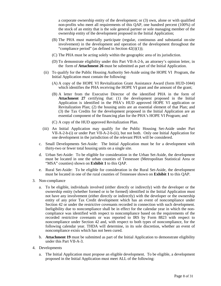a corporate ownership entity of the development; or (3) own, alone or with qualified non-profits who meet all requirements of this QAP, one hundred percent (100%) of the stock of an entity that is the sole general partner or sole managing member of the ownership entity of the development proposed in the Initial Application;

- (B) The PHA must materially participate (regular, continuous and substantial on-site involvement) in the development and operation of the development throughout the "compliance period" (as defined in Section  $42(i)(1)$ );
- (C) The PHA must be acting solely within the geographic area of its jurisdiction.
- (D) To demonstrate eligibility under this Part VII-A-2-b, an attorney's opinion letter, in the form of **Attachment 26** must be submitted as part of the Initial Application.
- (ii) To qualify for the Public Housing Authority Set-Aside using the HOPE VI Program, the Initial Application must contain the following:
	- (A) A copy of the HOPE VI Revitalization Grant Assistance Award (form HUD-1044) which identifies the PHA receiving the HOPE VI grant and the amount of the grant;
	- (B) A letter from the Executive Director of the identified PHA in the form of **Attachment 27** certifying that: (1) the development proposed in the Initial Application is identified in the PHA's HUD approved HOPE VI application or Revitalization Plan; (2) the housing units are an essential element of that Plan; and (3) the Tax Credits for the development proposed in the Initial Application are an essential component of the financing plan for the PHA's HOPE VI Program; and
	- (C) A copy of the HUD approved Revitalization Plan.
- (iii) An Initial Application may qualify for the Public Housing Set-Aside under Part VII-A-2-b-(i) or under Part VII-A-2-b-(ii), but not both. Only one Initial Application for one development in the jurisdiction of the relevant PHA will be considered.
- c. Small Developments Set-Aside: The Initial Application must be for a development with thirty-two or fewer total housing units on a single site.
- d. Urban Set-Aside: To be eligible for consideration in the Urban Set-Aside, the development must be located in one the urban counties of Tennessee (Metropolitan Statistical Area or "MSA" counties) shown on **Exhibit 1** to this QAP.
- e. Rural Set-Aside: To be eligible for consideration in the Rural Set-Aside, the development must be located in one of the rural counties of Tennessee shown on **Exhibit 1** to this QAP.
- 3. Non-compliance
	- a. To be eligible, individuals involved (either directly or indirectly) with the developer or the ownership entity (whether formed or to be formed) identified in the Initial Application must not have any involvement (either directly or indirectly) with the developer or the ownership entity of any prior Tax Credit development which has an event of noncompliance under Section 42 or under the restrictive covenants recorded in connection with such development. Ineligibility due to noncompliance shall be in effect for the calendar year in which the noncompliance was identified with respect to noncompliance based on the requirements of the recorded restrictive covenants or was reported to IRS by Form 8823 with respect to noncompliance under Section 42 and, with respect to both types of noncompliance, for the following calendar year. THDA will determine, in its sole discretion, whether an event of noncompliance exists which has not been cured.
	- b. **Attachment 19** must be submitted as part of the Initial Application to demonstrate eligibility under this Part VII-A-3.
- 4. Developments
	- a. The Initial Application must propose an eligible development. To be eligible, a development proposed in the Initial Application must meet ALL of the following: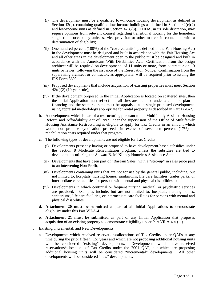- (i) The development must be a qualified low-income housing development as defined in Section  $42(g)$ , containing qualified low-income buildings as defined in Section  $42(c)(2)$ and low-income units as defined in Section  $42(i)(3)$ . THDA, in its sole discretion, may require opinions from relevant counsel regarding transitional housing for the homeless, single room occupancy units, service provision or other matters in connection with a determination of eligibility;
- (ii) One hundred percent (100%) of the "covered units" (as defined in the Fair Housing Act) in the development must be designed and built in accordance with the Fair Housing Act and all other areas in the development open to the public must be designed and built in accordance with the Americans With Disabilities Act. Certification from the design architect will be required on developments of 11 units or more, from contractor on 10 units or fewer, following the issuance of the Reservation Notice. Confirmation from the supervising architect or contractor, as appropriate, will be required prior to issuing the IRS Form 8609;
- (iii) Proposed developments that include acquisition of existing properties must meet Section 42(d)(2) (10-year rule);
- (iv) If the development proposed in the Initial Application is located on scattered sites, then the Initial Application must reflect that all sites are included under a common plan of financing and the scattered sites must be appraised as a single proposed development, using appraisal methodology appropriate for rental property as described in Part IX-B-7.
- b. A development which is part of a restructuring pursuant to the Multifamily Assisted Housing Reform and Affordability Act of 1997 under the supervision of the Office of Multifamily Housing Assistance Restructuring is eligible to apply for Tax Credits in an amount which would not produce syndication proceeds in excess of seventeen percent (17%) of rehabilitation costs required under that program.
- c. The following types of developments are not eligible for Tax Credits:
	- (i) Developments presently having or proposed to have development-based subsidies under the Section 8 Moderate Rehabilitation program, unless the subsidies are tied to developments utilizing the Stewart B. McKinney Homeless Assistance Act;
	- (ii) Developments that have been part of "Bargain Sales" with a "step-up" in sales price paid to an intervening Non-Profit;
	- (iii) Developments containing units that are not for use by the general public, including, but not limited to, hospitals, nursing homes, sanitariums, life care facilities, trailer parks, or intermediate care facilities for persons with mental and physical disabilities; or
	- (iv) Developments in which continual or frequent nursing, medical, or psychiatric services are provided. Examples include, but are not limited to, hospitals, nursing homes, sanitariums, life care facilities, or intermediate care facilities for persons with mental and physical disabilities
- d. **Attachment 20 must be submitted** as part of all Initial Applications to demonstrate eligibility under this Part VII-A-4.
- e. **Attachment 21 must be submitted** as part of any Initial Application that proposes acquisition of an existing property to demonstrate eligibility under Part VII-A-4-a-(iii).
- 5. Existing, Incremental, and New Developments
	- a. Developments which received reservations/allocations of Tax Credits under QAPs at any time during the prior fifteen (15) years and which are not proposing additional housing units will be considered "existing" developments. Developments which have received reservations/allocations of Tax Credits under the 2001 QAP, but which are proposing additional housing units will be considered "incremental" developments. All other developments will be considered "new" developments.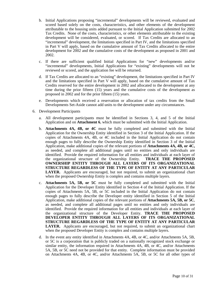- b. Initial Applications proposing "incremental" developments will be reviewed, evaluated and scored based solely on the costs, characteristics, and other elements of the development attributable to the housing units added pursuant to the Initial Application submitted for 2002 Tax Credits. None of the costs, characteristics, or other elements attributable to the existing development will be considered, evaluated, or scored. If Tax Credits are allocated to an "incremental" development, the limitations specified in Part IV, and the limitations specified in Part V will apply, based on the cumulative amount of Tax Credits allocated to the entire development for 2002 and the cumulative costs of the development as proposed in 2001 and 2002.
- c. If there are sufficient qualified Initial Applications for "new" developments and/or "incremental" developments, Initial Applications for "existing" developments will not be reviewed or scored, and the application fee will be returned.
- d. If Tax Credits are allocated to an "existing" development, the limitations specified in Part IV and the limitations specified in Part V will apply, based on the cumulative amount of Tax Credits reserved for the entire development in 2002 and allocated to the development at any time during the prior fifteen (15) years and the cumulative costs of the development as proposed in 2002 and for the prior fifteen (15) years.
- e. Developments which received a reservation or allocation of tax credits from the Small Developments Set-Aside cannot add units to the development under any circumstances.
- 6. Development Participants
	- a. All development participants must be identified in Sections 3, 4, and 5 of the Initial Application and on **Attachment 6**, which must be submitted with the Initial Application.
	- b. **Attachments 4A, 4B, or 4C** must be fully completed and submitted with the Initial Application for the Ownership Entity identified in Section 3 of the Initial Application. If the copies of Attachments 4A, 4B, or 4C included in the Initial Application do not contain enough pages to fully describe the Ownership Entity identified in Section 3 of the Initial Application, make additional copies of the relevant portions of **Attachments 4A, 4B, or 4C,** as needed, and complete all additional pages until no entities and only individuals are identified. Provide the required information for all entities and individuals at each layer of the organizational structure of the Ownership Entity. **TRACE THE PROPOSED OWNERSHIP ENTITY THROUGH ALL LAYERS OF ITS ORGANIZATIONAL STRUCTURE REGARDLESS OF THE TYPE OF ENTITY AT ANY PARTICULAR LAYER.** Applicants are encouraged, but not required, to submit an organizational chart when the proposed Ownership Entity is complex and contains multiple layers.
	- c. **Attachments 5A, 5B, or 5C** must be fully completed and submitted with the Initial Application for the Developer Entity identified in Section 4 of the Initial Application. If the copies of Attachments 5A, 5B, or 5C included in the Initial Application do not contain enough pages to fully describe the Developer entity identified in Section 5 of the Initial Application, make additional copies of the relevant portions of **Attachments 5A, 5B, or 5C**, as needed, and complete all additional pages until no entities and only individuals are identified. Provide the required information for all entities and individuals at each layer of the organizational structure of the Developer Entity. **TRACE THE PROPOSED DEVELOPER ENTITY THROUGH ALL LAYERS OF ITS ORGANIZATIONAL STRUCTURE REGARDLESS OF THE TYPE OF ENTITY AT ANY PARTICULAR LAYER.** Applicants are encouraged, but not required, to submit an organizational chart when the proposed Developer Entity is complex and contains multiple layers.
	- d. In the event any entity identified in Attachments 4A, 4B, or 4C, and/or Attachments 5A, 5B, or 5C is a corporation that is publicly traded on a nationally recognized stock exchange or similar entity, the information required in Attachments 4A, 4B, or 4C, and/or Attachments 5A, 5B, or 5C need not be provided for that entity. Complete information must be provided on Attachments 4A, 4B, or 4C, and/or Attachments 5A, 5B, or 5C for all other types of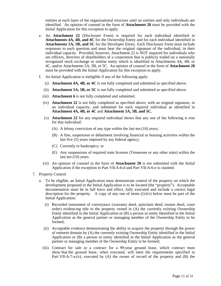entities at each layer of the organizational structure until no entities and only individuals are identified. An opinion of counsel in the form of **Attachment 28** must be provided with the Initial Application for this exception to apply.

- e. An **Attachment 22** (Disclosure Form) is required for each individual identified in **Attachments 4A, 4B, and 4C** for the Ownership Entity and for each individual identified in **Attachments 5A, 5B, and 5C** for the Developer Entity. Each Disclosure Form must include responses to each question and must bear the original signature of the individual, in their individual capacity. Provided, however, Attachment 22 is NOT required for individuals who are officers, directors of shareholders of a corporation that is publicly traded on a nationally recognized stock exchange or similar entity which is identified in Attachments 4A, 4B, or 4C, and/or Attachments 5A, 5B, or 5C. An opinion of counsel in the form of **Attachment 28** must be provided with the Initial Application for this exception to apply.
- f. An Initial Application is ineligible if any of the following apply:
	- (i) **Attachment 4A, 4B, or 4C** is not fully completed and submitted as specified above.
	- (ii) **Attachment 5A, 5B, or 5C** is not fully completed and submitted as specified above.
	- (iii) **Attachment 6** is not fully completed and submitted.
	- (iv) **Attachment 22** is not fully completed as specified above, with an original signature, in an individual capacity, and submitted for each required individual as identified in **Attachment 4A, 4B, or 4C** and **Attachment 5A, 5B, and 5C.**
	- (v) **Attachment 22** for any required individual shows that any one of the following is true for that individual:
		- (A) A felony conviction of any type within the last ten (10) years;
		- (B) A fine, suspension or debarment involving financial or housing activities within the last five (5) years imposed by any federal agency;
		- (C) Currently in bankruptcy; or
		- (E) Any suspensions of required state licenses (Tennessee or any other state) within the last ten  $(10)$  years.
	- (vi) An opinion of counsel in the form of **Attachment 28** is not submitted with the Initial Application if the exception in Part VII-A-6-d and Part VII-A-6-e is claimed.
- 7. Property Control
	- a. To be eligible, an Initial Application must demonstrate control of the property on which the development proposed in the Initial Application is to be located (the "property"). Acceptable documentation must be in full force and effect, fully executed and include a correct legal description for the property. A copy of any one of items  $(i)-(iv)$  below must be part of the Initial Application:
		- (i) Recorded instrument of conveyance (warranty deed, quitclaim deed, trustee deed, court order) evidencing title to the property vested in (A) the currently existing Ownership Entity identified in the Initial Application or (B) a person or entity identified in the Initial Application as the general partner or managing member of the Ownership Entity to be formed;
		- (ii) Acceptable evidence demonstrating the ability to acquire the property through the power of eminent domain by (A) the currently existing Ownership Entity identified in the Initial Application or (B) a person or entity identified in the Initial Application as the general partner or managing member of the Ownership Entity to be formed;
		- (iii) Contract for sale or a contract for a 99-year ground lease, which contract must show that the ground lease, when executed, will meet the requirements specified in Part VII-A-7-a-(v), executed by (A) the owner of record of the property and (B) the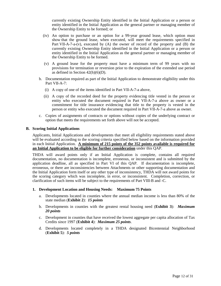currently existing Ownership Entity identified in the Initial Application or a person or entity identified in the Initial Application as the general partner or managing member of the Ownership Entity to be formed; or

- (iv) An option to purchase or an option for a 99-year ground lease, which option must show that the ground lease, when executed, will meet the requirements specified in Part VII-A-7-a-(v), executed by (A) the owner of record of the property and (B) the currently existing Ownership Entity identified in the Initial Application or a person or entity identified in the Initial Application as the general partner or managing member of the Ownership Entity to be formed.
- (v) A ground lease for the property must have a minimum term of 99 years with no provisions for termination or reversion prior to the expiration of the extended use period as defined in Section 42(h)(6)(D).
- b. Documentation required as part of the Initial Application to demonstrate eligibility under this Part VII-A-7:
	- (i) A copy of one of the items identified in Part VII-A-7-a above,
	- (ii) A copy of the recorded deed for the property evidencing title vested in the person or entity who executed the document required in Part VII-A-7-a above as owner or a commitment for title insurance evidencing that title to the property is vested in the person or entity who executed the document required in Part VII-A-7-a above as owner.
- c. Copies of assignments of contracts or options without copies of the underlying contract or option that meets the requirements set forth above will not be accepted.

#### **B. Scoring Initial Applications**

Applicants, Initial Applications and developments that meet all eligibility requirements stated above will be evaluated according to the scoring criteria specified below based on the information provided in each Initial Application. **A minimum of 215 points of the 352 points available is required for an Initial Application to be eligible for further consideration** under this QAP.

THDA will award points only if an Initial Application is complete, contains all required documentation, no documentation is incomplete, erroneous, or inconsistent and is submitted by the application deadline, all as specified in Part VI of this QAP. If documentation is incomplete, erroneous, or there are inconsistencies between Attachments or other supporting documentation and the Initial Application form itself or any other type of inconsistency, THDA will not award points for the scoring category which was incomplete, in error, or inconsistent. Completion, correction, or clarification of such items will be subject to the requirements of Part VIII-B and -C.

#### **1. Development Location and Housing Needs: Maximum 75 Points**

- a. Developments located in counties where the annual median income is less than 80% of the state median (**Exhibit 2**): *15 points*
- b. Developments in counties with the greatest rental housing need (**Exhibit 3**): *Maximum 20 points*
- c. Development in counties that have received the lowest aggregate per capita allocation of Tax Credits since 1997 (**Exhibit 4**): *Maximum 25 points*.
- d. Developments located completely in a THDA designated Bicentennial Neighborhood (**Exhibit 5**): *5 points*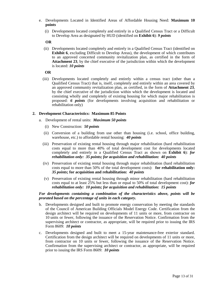- e. Developments Located in Identified Areas of Affordable Housing Need: **Maximum 10 points**
	- (i) Developments located completely and entirely in a Qualified Census Tract or a Difficult to Develop Area as designated by HUD (identified on **Exhibit 6**): *9 points*

#### **OR**

(ii) Developments located completely and entirely in a Qualified Census Tract (identified on **Exhibit 6**, excluding Difficult to Develop Areas), the development of which contributes to an approved concerted community revitalization plan, as certified in the form of **Attachment 23**, by the chief executive of the jurisdiction within which the development is located: *10 points*

#### **OR**

(iii) Developments located completely and entirely within a census tract (other than a Qualified Census Tract) that is, itself, completely and entirely within an area covered by an approved community revitalization plan, as certified, in the form of **Attachment 23**, by the chief executive of the jurisdiction within which the development is located and consisting wholly and completely of existing housing for which major rehabilitation is proposed: *6 points* (for developments involving acquisition and rehabilitation or rehabilitation only)

#### **2. Development Characteristics: Maximum 85 Points**

- a. Development of rental units: *Maximum 50 points*
	- (i) New Construction: *50 points*
	- (ii) Conversion of a building from use other than housing (i.e. school, office building, warehouse, etc.) to affordable rental housing: *40 points*
	- (iii) Preservation of existing rental housing through major rehabilitation (hard rehabilitation costs equal to more than 40% of total development cost for developments located completely and entirely in a Qualified Census Tract as shown on **Exhibit 6**): *for rehabilitation only: 35 points; for acquisition and rehabilitation: 40 points*
	- (iv) Preservation of existing rental housing through major rehabilitation (hard rehabilitation costs equal to more than 50% of the total development costs): **for rehabilitation only:** *35 points***; for acquisition and rehabilitation:** *40 points*
	- (v) Preservation of existing rental housing through minor rehabilitation (hard rehabilitation costs equal to at least 25% but less than or equal to 50% of total development cost): *for rehabilitation only: 10 points; for acquisition and rehabilitation: 15 points*

#### *For developments containing a combination of the characteristics above, points will be prorated based on the percentage of units in each category.*

- b. Developments designed and built to promote energy conservation by meeting the standards of the Council of American Building Officials Model Energy Code. Certification from the design architect will be required on developments of 11 units or more, from contractor on 10 units or fewer, following the issuance of the Reservation Notice. Confirmation from the supervising architect or contractor, as appropriate, will be required prior to issuing the IRS Form 8609: *10 points*
- c. Developments designed and built to meet a 15-year maintenance-free exterior standard. Certification from the design architect will be required on developments of 11 units or more, from contractor on 10 units or fewer, following the issuance of the Reservation Notice. Confirmation from the supervising architect or contractor, as appropriate, will be required prior to issuing the IRS Form 8609: *10 points*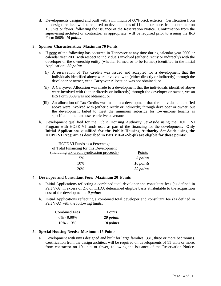d. Developments designed and built with a minimum of 60% brick exterior. Certification from the design architect will be required on developments of 11 units or more, from contractor on 10 units or fewer, following the issuance of the Reservation Notice. Confirmation from the supervising architect or contractor, as appropriate, will be required prior to issuing the IRS Form 8609: *15 points*

#### **3. Sponsor Characteristics: Maximum 70 Points**

- a. If none of the following has occurred in Tennessee at any time during calendar year 2000 or calendar year 2001 with respect to individuals involved (either directly or indirectly) with the developer or the ownership entity (whether formed or to be formed) identified in the Initial Application: *50 points*
	- (i) A reservation of Tax Credits was issued and accepted for a development that the individuals identified above were involved with (either directly or indirectly) through the developer or owner, yet a Carryover Allocation was not obtained; or
	- (ii) A Carryover Allocation was made to a development that the individuals identified above were involved with (either directly or indirectly) through the developer or owner, yet an IRS Form 8609 was not obtained; or
	- (iii) An allocation of Tax Credits was made to a development that the individuals identified above were involved with (either directly or indirectly) through developer or owner, but the development failed to meet the minimum set-aside for low-income tenants as specified in the land use restrictive covenants.
- b. Development qualified for the Public Housing Authority Set-Aside using the HOPE VI Program with HOPE VI funds used as part of the financing for the development: **Only Initial Applications qualified for the Public Housing Authority Set-Aside using the HOPE VI Program as described in Part VII-A-2-b-(ii) are eligible for these points**:

| HOPE VI Funds as a Percentage<br>of Total Financing for this Development |           |
|--------------------------------------------------------------------------|-----------|
| (including tax credit syndication proceeds)                              | Points    |
| 5%                                                                       | 5 points  |
| 10%                                                                      | 10 points |
| 20%                                                                      | 20 points |

#### **4. Developer and Consultant Fees: Maximum 20 Points**

- a. Initial Applications reflecting a combined total developer and consultant fees (as defined in Part V-A) in excess of 2% of THDA determined eligible basis attributable to the acquisition cost of the development : *0 points*
- b. Initial Applications reflecting a combined total developer and consultant fee (as defined in Part V-A) with the following limits:

| <b>Combined Fees</b> | Points    |
|----------------------|-----------|
| $0\% - 9.99\%$       | 20 points |
| $10\% - 13\%$        | 10 points |

#### **5. Special Housing Needs: Maximum 15 Points**

a. Development with units designed and built for large families, (i.e., three or more bedrooms). Certification from the design architect will be required on developments of 11 units or more, from contractor on 10 units or fewer, following the issuance of the Reservation Notice.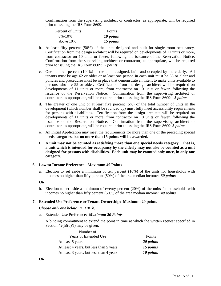Confirmation from the supervising architect or contractor, as appropriate, will be required prior to issuing the IRS Form 8609.

| Percent of Units | Points    |
|------------------|-----------|
| $8\% - 10\%$     | 10 points |
| above $10\%$     | 15 points |

- b. At least fifty percent (50%) of the units designed and built for single room occupancy. Certification from the design architect will be required on developments of 11 units or more, from contractor on 10 units or fewer, following the issuance of the Reservation Notice. Confirmation from the supervising architect or contractor, as appropriate, will be required prior to issuing the IRS Form 8609: *5 points*;
- c. One hundred percent (100%) of the units designed, built and occupied by the elderly. All tenants must be age 62 or older or at least one person in each unit must be 55 or older and policies and procedures must be in place that demonstrate an intent to make units available to persons who are 55 or older. Certification from the design architect will be required on developments of 11 units or more, from contractor on 10 units or fewer, following the issuance of the Reservation Notice. Confirmation from the supervising architect or contractor, as appropriate, will be required prior to issuing the IRS Form 8609: *5 points*.
- d. The greater of one unit or at least five percent (5%) of the total number of units in the development (which number shall be rounded up) must fully meet accessibility requirements for persons with disabilities. Certification from the design architect will be required on developments of 11 units or more, from contractor on 10 units or fewer, following the issuance of the Reservation Notice. Confirmation from the supervising architect or contractor, as appropriate, will be required prior to issuing the IRS Form 8609: *5 points*
- e. An Initial Application may meet the requirements for more than one of the preceding special needs categories, but **no more than 15 points will be awarded.**
- f. **A unit may not be counted as satisfying more than one special needs category. That is, a unit which is intended for occupancy by the elderly may not also be counted as a unit designed for persons with disabilities. Each unit may be counted only once, in only one category.**

#### **6. Lowest Income Preference: Maximum 40 Points**

a. Election to set aside a minimum of ten percent (10%) of the units for households with incomes no higher than fifty percent (50%) of the area median income: *30 points*

#### *OR*

b. Election to set aside a minimum of twenty percent (20%) of the units for households with incomes no higher than fifty percent (50%) of the area median income: *40 points*

#### **7. Extended Use Preference or Tenant Ownership: Maximum 20 points**

#### *Choose only one below, a. OR b.*

a. Extended Use Preference: *Maximum 20 Points*

 $\mathbf{v}$  of  $\mathbf{v}$ 

A binding commitment to extend the point in time at which the written request specified in Section  $42(h)(6)(I)$  may be given:

| Number of                               |           |
|-----------------------------------------|-----------|
| Years of Extended Use                   | Points    |
| At least 5 years                        | 20 points |
| At least 4 years, but less than 5 years | 15 points |
| At least 3 years, but less than 4 years | 10 points |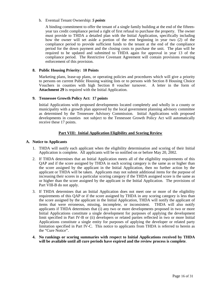#### b. Eventual Tenant Ownership: *5 points*

A binding commitment to offer the tenant of a single family building at the end of the fifteenyear tax credit compliance period a right of first refusal to purchase the property. The owner must provide to THDA a detailed plan with the Initial Application, specifically including how the owner will set aside a portion of the rent beginning in year two (2) of the compliance period to provide sufficient funds to the tenant at the end of the compliance period for the down payment and the closing costs to purchase the unit. The plan will be required to be updated and submitted to THDA again for approval in year 13 of the compliance period. The Restrictive Covenant Agreement will contain provisions ensuring enforcement of this provision.

#### **8. Public Housing Priority: 10 Points**

Marketing plans, lease-up plans, or operating policies and procedures which will give a priority to persons on current Public Housing waiting lists or to persons with Section 8 Housing Choice Vouchers in counties with high Section 8 voucher turnover. A letter in the form of **Attachment 29** is required with the Initial Application.

#### **9. Tennessee Growth Policy Act: 17 points**

Initial Applications with proposed developments located completely and wholly in a county or municipality with a growth plan approved by the local government planning advisory committee as determined by the Tennessee Advisory Commission. Initial Applications with proposed developments in counties not subject to the Tennessee Growth Policy Act will automatically receive these 17 points.

#### **Part VIII: Initial Application Eligibility and Scoring Review**

#### **A. Notice to Applicants**

- 1. THDA will notify each applicant when the eligibility determination and scoring of their Initial Application is complete. All applicants will be so notified on or before May 20, 2002.
- 2. If THDA determines that an Initial Application meets all of the eligibility requirements of this QAP and if the score assigned by THDA in each scoring category is the same as or higher than the score assigned by the applicant in the Initial Application, then no further action by the applicant or THDA will be taken. Applicants may not submit additional items for the purpose of increasing their scores in a particular scoring category if the THDA assigned score is the same as or higher than the score assigned by the applicant in the Initial Application. The provisions of Part VIII-B do not apply.
- 3. If THDA determines that an Initial Application does not meet one or more of the eligibility requirements of this QAP or if the score assigned by THDA in any scoring category is less than the score assigned by the applicant in the Initial Application, THDA will notify the applicant of items that were erroneous, missing, incomplete, or inconsistent. THDA will also notify applicants if THDA determines that (i) any two or more developments proposed in two or more Initial Applications constitute a single development for purposes of applying the development limit specified in Part IV-B or (ii) developers or related parties reflected in two or more Initial Applications constitute a single entity for purposes of applying the developer or related party limitation specified in Part IV-C. This notice to applicants from THDA is referred to herein as the "Cure Notice".
- **4. No rankings or scoring summaries with respect to Initial Applications received by THDA will be available until all cure periods have expired and the review process is complete**.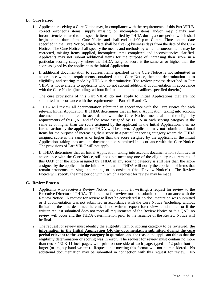#### **B. Cure Period**

- 1. Applicants receiving a Cure Notice may, in compliance with the requirements of this Part VIII-B, correct erroneous items, supply missing or incomplete items and/or may clarify any inconsistencies related to the specific items identified by THDA during a cure period which shall begin on the date of the Cure Notice and shall end at 4:00 p.m. Central Time, on the date specified in the Cure Notice, which date shall be five (5) business days from the date of the Cure Notice. The Cure Notice shall specify the means and methods by which erroneous items may be corrected, missing items supplied, incomplete items completed and inconsistencies clarified. Applicants may not submit additional items for the purpose of increasing their score in a particular scoring category where the THDA assigned score is the same as or higher than the score assigned by the applicant in the Initial Application.
- 2. If additional documentation to address items specified in the Cure Notice is not submitted in accordance with the requirements contained in the Cure Notice, then the determination as to eligibility and scoring made by THDA is determinative. The review process described in Part VIII-C is not available to applicants who do not submit additional documentation in accordance with the Cure Notice (including, without limitation, the time deadlines specified therein.).
- 3. The cure provisions of this Part VIII-B **do not apply** to Initial Applications that are not submitted in accordance with the requirements of Part VI-B and -C.
- 4. THDA will review all documentation submitted in accordance with the Cure Notice for each relevant Initial Application. If THDA determines that an Initial Application, taking into account documentation submitted in accordance with the Cure Notice, meets all of the eligibility requirements of this QAP and if the score assigned by THDA in each scoring category is the same as or higher than the score assigned by the applicant in the Initial Application, then no further action by the applicant or THDA will be taken. Applicants may not submit additional items for the purpose of increasing their score in a particular scoring category where the THDA assigned score is the same as or higher than the score assigned by the applicant in the Initial Application, taking into account documentation submitted in accordance with the Cure Notice. The provisions of Part VIII-C will not apply.
- 5. If THDA determines that an Initial Application, taking into account documentation submitted in accordance with the Cure Notice, still does not meet any one of the eligibility requirements of this QAP or if the score assigned by THDA in any scoring category is still less than the score assigned by the applicant in the Initial Application, THDA will notify the applicant of items that remain erroneous, missing, incomplete, or inconsistent (the "Review Notice"). The Review Notice will specify the time period within which a request for review may be made.

#### **C. Review Process**

- 1. Applicants who receive a Review Notice may submit, **in writing,** a request for review to the Executive Director of THDA. This request for review must be submitted in accordance with the Review Notice. A request for review will not be considered if no documentation was submitted or if documentation was not submitted in accordance with the Cure Notice (including, without limitation, the time deadlines therein). If no written request for review is submitted or if the written request submitted does not meet all requirements of the Review Notice or this QAP, no review will occur and the THDA determination prior to the issuance of the Review Notice will be final.
- 2. The request for review must identify the eligibility item or scoring category to be reviewed, **the information in the Initial Application OR the documentation submitted during the cure period relevant to the scoring category in question**, and the reason the applicant thinks that the eligibility determination or scoring was in error. The request for review must contain no more than two 8 1/2 X 11 inch pages, with print on one side of each page, typed in 12 point font or larger (or legibly hand written). Requests not meeting this format will not be considered. No additional documentation may be submitted in connection with this request for review. No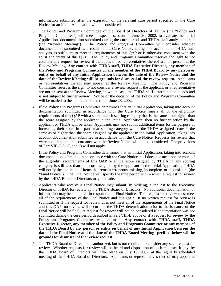information submitted after the expiration of the relevant cure period specified in the Cure Notice for an Initial Application will be considered.

- 3. The Policy and Programs Committee of the Board of Directors of THDA (the "Policy and Programs Committee") will meet in special session on June 20, 2002, to evaluate the Initial Application, documentation submitted during the cure period, and THDA staff analysis thereof (the "Review Meeting"). The Policy and Programs Committee will consider whether documentation submitted as a result of the Cure Notice, taking into account the THDA staff analysis, is sufficient to meet the requirements of this QAP or is otherwise consistent with the spirit and intent of this QAP. The Policy and Programs Committee reserves the right to not consider any request for review if the applicant or representatives thereof are not present at the Review Meeting. **Any contact with THDA staff, THDA Executive Director, any member of the Policy and Programs Committee or any member of the THDA Board by any person or entity on behalf of any Initial Application between the date of the Review Notice and the date of the Review Meeting will be grounds for dismissal of the review request.** Applicants or representatives thereof may appear at the Review Meeting. The Policy and Programs Committee reserves the right to not consider a review request if the applicant or a representative are not present at the Review Meeting, in which case, the THDA staff determination stands and is not subject to further review. Notice of the decision of the Policy and Programs Committee will be mailed to the applicant no later than June 28, 2002.
- 4. If the Policy and Programs Committee determines that an Initial Application, taking into account documentation submitted in accordance with the Cure Notice, meets all of the eligibility requirements of this QAP with a score in each scoring category that is the same as or higher than the score assigned by the applicant in the Initial Application, then no further action by the applicant or THDA will be taken. Applicants may not submit additional items for the purpose of increasing their score in a particular scoring category where the THDA assigned score is the same as or higher than the score assigned by the applicant in the Initial Application, taking into account documentation submitted in accordance with the Cure Notice. Requests for review that were not submitted in accordance with the Review Notice will not be considered. The provisions of Part VIII-C-6, -7, and -8 will not apply.
- 5. If the Policy and Programs Committee determines that an Initial Application, taking into account documentation submitted in accordance with the Cure Notice, still does not meet one or more of the eligibility requirements of this QAP or if the score assigned by THDA in any scoring category is still less than the score assigned by the applicant in the Initial Application, THDA will notify the applicant of items that remain erroneous, missing, incomplete, or inconsistent (the "Final Notice"). The Final Notice will specify the time period within which a request for review by the THDA Board of Directors may be made.
- 6. Applicants who receive a Final Notice may submit, **in writing,** a request to the Executive Director of THDA for review by the THDA Board of Directors. No additional documentation or information may be submitted in response to a Final Notice. This request for review must meet all of the requirements of the Final Notice and this QAP. If no written request for review is submitted or if the request for review does not meet all of the requirements of the Final Notice and this QAP, no review will occur and the THDA determination prior to the issuance of the Final Notice will be final. A request for review will not be considered if documentation was not submitted during the cure period described in Part VIII-B above or if a request for review by the Policy and Programs Committee was not made. **Any contact with THDA staff, THDA Executive Director, any member of the Policy and Programs Committee or any member of the THDA Board by any person or entity on behalf of any Initial Application between the date of the Final Notice and the date of the THDA Board Meeting specified below will be grounds for dismissal of the review request.**
- 7. The THDA Board of Directors is authorized, but is not required, to consider any such request for review. Whether requests for review will be heard and disposition of such requests, if any, by the THDA Board of Directors will take place on July 18, 2002, at the regularly scheduled meeting of the THDA Board of Directors. Applicants or representatives thereof may appear at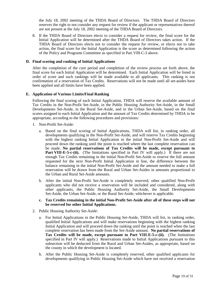the July 18, 2002 meeting of the THDA Board of Directors. The THDA Board of Directors reserves the right to not consider any request for review if the applicant or representatives thereof are not present at the July 18, 2002 meeting of the THDA Board of Directors.

8. If the THDA Board of Directors elects to consider a request for review, the final score for the Initial Application will be determined after the THDA Board of Directors takes action. If the THDA Board of Directors elects not to consider the request for review, or elects not to take action, the final score for the Initial Application is the score as determined following the action of the Policy and Programs Committee as specified in Part VIII-C-3 above.

#### **D. Final scoring and ranking of Initial Applications**

After the completion of the cure period and completion of the review process set forth above, the final score for each Initial Application will be determined. Each Initial Application will be listed in order of score and such rankings will be made available to all applicants. This ranking is not confirmation of a reservation of Tax Credits. Reservations will not be made until all set-asides have been applied and all limits have been applied.

#### **E. Application of Various Limits/Final Ranking**

Following the final scoring of each Initial Application, THDA will reserve the available amount of Tax Credits in the Non-Profit Set-Aside, in the Public Housing Authority Set-Aside, in the Small Developments Set-Aside, in the Rural Set-Aside, and in the Urban Set-Aside, based on the final scores assigned to each Initial Application and the amount of Tax Credits determined by THDA to be appropriate, according to the following procedures and provisions:

- 1. Non-Profit Set-Aside:
	- a. Based on the final scoring of Initial Applications, THDA will list, in ranking order, all developments qualifying in the Non-Profit Set-Aside, and will reserve Tax Credits beginning with the highest ranking Initial Application in the initial Non-Profit Set-Aside and will proceed down the ranking until the point is reached where the last complete reservation can be made. **No partial reservations of Tax Credits will be made, except pursuant to Part VIII-E-5-c-(ii).** (The limitations specified in Part IV will apply.) If there are not enough Tax Credits remaining in the initial Non-Profit Set-Aside to reserve the full amount requested for the next Non-Profit Initial Application in line, the difference between the balance remaining in the initial Non-Profit Set-Aside and the amount needed to make a full reservation will be drawn from the Rural and Urban Set-Asides in amounts proportional to the Urban and Rural Set-Aside amounts.
	- b. After the initial Non-Profit Set-Aside is completely reserved, other qualified Non-Profit applicants who did not receive a reservation will be included and considered, along with other applicants, the Public Housing Authority Set-Aside, the Small Developments Set-Aside, the Urban Set-Aside, or the Rural Set-Aside, whichever is applicable.

#### **c. Tax Credits remaining in the initial Non-Profit Set-Aside after all of these steps will not be reserved for other Initial Applications.**

- 2. Public Housing Authority Set-Aside:
	- a. For Initial Applications in the Public Housing Set-Aside, THDA will list, in ranking order, qualified Initial Applications and will make reservations beginning with the highest ranking Initial Application and will proceed down the ranking until the point is reached when the last complete reservation has been made from the Set-Aside amount. **No partial reservations of Tax Credits will be made, except pursuant to Part VIII-E-5-c-(ii).** (The limitations specified in Part IV will apply.) Reservations made to Initial Applications pursuant to this subsection will be deducted from the Rural and Urban Set-Asides, as appropriate, based on the county in which the development is located.
	- b. After the Public Housing Set-Aside is completely reserved, other qualified applicants for developments qualifying in Public Housing Set-Aside which have not received a reservation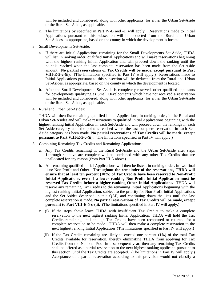will be included and considered, along with other applicants, for either the Urban Set-Aside or the Rural Set-Aside, as applicable.

- c. The limitations by specified in Part IV-B and -D will apply. Reservations made to Initial Applications pursuant to this subsection will be deducted from the Rural and Urban Set-Asides, as appropriate, based on the county in which the development is located.
- 3. Small Developments Set-Aside:
	- a. If there are Initial Applications remaining for the Small Developments Set-Aside, THDA will list, in ranking order, qualified Initial Applications and will make reservations beginning with the highest ranking Initial Application and will proceed down the ranking until the point is reached when the last complete reservation has been made from the Set-Aside amount. **No partial reservations of Tax Credits will be made, except pursuant to Part VIII-E-5-c-(ii).** (The limitations specified in Part IV will apply.) Reservations made to Initial Applications pursuant to this subsection will be deducted from the Rural and Urban Set-Asides, as appropriate, based on the county in which the development is located.
	- b. After the Small Developments Set-Aside is completely reserved, other qualified applicants for developments qualifying as Small Developments which have not received a reservation will be included and considered, along with other applicants, for either the Urban Set-Aside or the Rural Set-Aside, as applicable.
- 4. Rural and Urban Set-Asides:

THDA will then list remaining qualified Initial Applications, in ranking order, in the Rural and Urban Set-Asides and will make reservations to qualified Initial Applications beginning with the highest ranking Initial Application in each Set-Aside and will proceed down the rankings in each Set-Aside category until the point is reached where the last complete reservation in each Set-Aside category has been made. **No partial reservations of Tax Credits will be made, except pursuant to Part VIII-E-5-c-(ii).** (The limitations specified in Part IV will apply.)

- 5. Combining Remaining Tax Credits and Remaining Applications:
	- a. Any Tax Credits remaining in the Rural Set-Aside and the Urban Set-Aside after steps 1 through 4 above are complete will be combined with any other Tax Credits that are unallocated for any reason (from Part III-A above).
	- b. All remaining qualified Initial Applications will then be listed, in ranking order, in two final lists: Non-Profit and Other. **Throughout the remainder of the reservations, THDA will ensure that at least ten percent (10%) of Tax Credits have been reserved to Non-Profit Initial Applications, even if a lower ranking Non-Profit Initial Application must be reserved Tax Credits before a higher-ranking Other Initial Applications.** THDA will reserve any remaining Tax Credits to the remaining Initial Applications beginning with the highest ranking Initial Application, subject to the priority for Non-Profit Initial Applications and the Set-Asides described in this QAP, and continuing down the lists until the last complete reservation is made. **No partial reservations of Tax Credits will be made, except pursuant to Part VIII-E-5-c-(ii).** (The limitations specified in Part IV will apply.)
	- c. (i) If the steps above leave THDA with insufficient Tax Credits to make a complete reservation to the next highest ranking Initial Application, THDA will hold the Tax Credits remaining until enough Tax Credits have been recaptured or returned for a complete reservation to be made. THDA will then make a complete reservation to the next highest ranking Initial Application (The limitations specified in Part IV will apply.)
		- (ii) If the Tax Credits remaining are likely to exceed one percent (1%) of the total Tax Credits available for reservation, thereby eliminating THDA from applying for Tax Credits from the National Pool in a subsequent year, then any remaining Tax Credits shall be offered as a partial reservation to the next highest ranking applicant, pursuant to this section, until the Tax Credits are accepted. (The limitations in Part IV will apply.) Acceptance of a partial reservation according to this provision would not classify a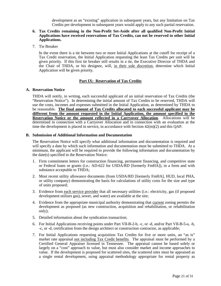development as an "existing" application in subsequent years, but any limitation on Tax Credits per development in subsequent years would apply to any such partial reservation.

#### **6. Tax Credits remaining in the Non-Profit Set-Aside after all qualified Non-Profit Initial Applications have received reservations of Tax Credits, can not be reserved to other Initial Applications.**

7. Tie Breaker

In the event there is a tie between two or more Initial Applications at the cutoff for receipt of a Tax Credit reservation, the Initial Application requesting the least Tax Credits per unit will be given priority. If this first tie breaker still results in a tie, the Executive Director of THDA and the Chair of THDA, or his designee, will, in their sole discretion, determine which Initial Application will be given priority.

#### **Part IX: Reservation of Tax Credits**

#### **A. Reservation Notice**

THDA will notify, in writing, each successful applicant of an initial reservation of Tax Credits (the "Reservation Notice"). In determining the initial amount of Tax Credits to be reserved, THDA will use the costs, incomes and expenses submitted in the Initial Application, as determined by THDA to be reasonable. **The final amount of Tax Credits allocated to each successful applicant may be different from the amount requested in the Initial Application, the amount specified in the Reservation Notice or the amount reflected in a Carryover Allocation**. Allocations will be determined in connection with a Carryover Allocation and in connection with an evaluation at the time the development is placed in service, in accordance with Section 42(m)(2) and this QAP.

#### **B. Submission of Additional Information and Documentation**

The Reservation Notice will specify what additional information and documentation is required and will specify a date by which such information and documentation must be submitted to THDA. At a minimum, the applicant will be required to provide the following information and documentation by the date(s) specified in the Reservation Notice:

- 1. Firm commitment letters for construction financing, permanent financing, and competitive state or Federal loans or grants (i.e.: AD-622 for USDA/RD [formerly FmHA]), in a form and with substance acceptable to THDA;
- 2. Most recent utility allowance documents (from USDA/RD [formerly FmHA], HUD, local PHA, or utility company) demonstrating the basis for calculations of utility costs for the size and type of units proposed;
- 3. Evidence from each service provider that all necessary utilities (i.e.: electricity, gas (if proposed development utilizes gas), sewer, and water) are available at the site;
- 4. Evidence from the appropriate municipal authority demonstrating that current zoning permits the development as proposed (as new construction, acquisition and rehabilitation, or rehabilitation only);
- 5. Detailed information about the syndication transaction;
- 6. For Initial Applications receiving points under Part VII-B-2-b, -c, or -d, and/or Part VII-B-5-a, -b, -c, or -d, certification from the design architect or construction contractor, as applicable;
- 7. For Initial Applications requesting acquisition Tax Credits for five or more units, an "as is" market rate appraisal not including Tax Credit benefits. The appraisal must be performed by a Certified General Appraiser licensed in Tennessee. The appraisal cannot be based solely or largely on a "cost" approach to value, but must also consider market and income approaches to value. If the development is proposed for scattered sites, the scattered sites must be appraised as a single rental development, using appraisal methodology appropriate for rental property as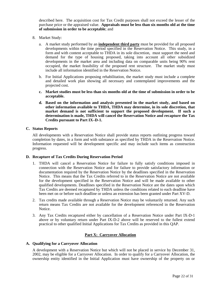described here. The acquisition cost for Tax Credit purposes shall not exceed the lesser of the purchase price or the appraised value. **Appraisals must be less than six months old at the time of submission in order to be acceptable**; and

- 8. Market Study:
	- a. A market study performed by an **independent third party** must be provided for all proposed developments within the time period specified in the Reservation Notice. This study, in a form and with content acceptable to THDA in its sole discretion, must support the need and demand for the type of housing proposed, taking into account all other subsidized developments in the market area and including data on comparable units being 90% rent occupied, the market feasibility of the proposed rent structure. The market study must include all information identified in the Reservation Notice.
	- b. For Initial Applications proposing rehabilitation, the market study must include a complete and detailed work plan showing all necessary and contemplated improvements and the projected cost.
	- **c. Market studies must be less than six months old at the time of submission in order to be acceptable.**
	- **d. Based on the information and analysis presented in the market study, and based on other information available to THDA, THDA may determine, in its sole discretion, that market demand is not sufficient to support the proposed development. If such a determination is made, THDA will cancel the Reservation Notice and recapture the Tax Credits pursuant to Part IX–D-1.**

#### **C. Status Reports**

All developments with a Reservation Notice shall provide status reports outlining progress toward completion by dates, in a form and with substance as specified by THDA in the Reservation Notice. Information requested will be development specific and may include such items as construction progress.

#### **D. Recapture of Tax Credits During Reservation Period**

- 1. THDA will cancel a Reservation Notice for failure to fully satisfy conditions imposed in connection with the Reservation Notice and for failure to provide satisfactory information or documentation required by the Reservation Notice by the deadlines specified in the Reservation Notice. This means that the Tax Credits referred to in the Reservation Notice are not available for the development specified in the Reservation Notice and will be made available to other qualified developments. Deadlines specified in the Reservation Notice are the dates upon which Tax Credits are deemed recaptured by THDA unless the conditions related to each deadline have been met on or before such deadline or unless an extension has been granted under Part XV-D.
- 2. Tax credits made available through a Reservation Notice may be voluntarily returned. Any such return means Tax Credits are not available for the development referenced in the Reservation Notice.
- 3. Any Tax Credits recaptured either by cancellation of a Reservation Notice under Part IX-D-1 above or by voluntary return under Part IX-D-2 above will be reserved to the fullest extend practical to other qualified Initial Applications for Tax Credits as provided in this QAP.

#### **Part X: Carryover Allocation**

#### **A. Qualifying for a Carryover Allocation**

A development with a Reservation Notice but which will not be placed in service by December 31, 2002, may be eligible for a Carryover Allocation. In order to qualify for a Carryover Allocation, the ownership entity identified in the Initial Application must have ownership of the property on or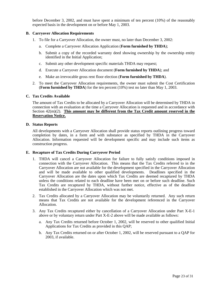before December 3, 2002, and must have spent a minimum of ten percent (10%) of the reasonably expected basis in the development on or before May 1, 2003.

#### **B. Carryover Allocation Requirements**

- 1. To file for a Carryover Allocation, the owner must, no later than December 3, 2002:
	- a. Complete a Carryover Allocation Application (**Form furnished by THDA**);
	- b. Submit a copy of the recorded warranty deed showing ownership by the ownership entity identified in the Initial Application;
	- c. Submit any other development specific materials THDA may request;
	- d. Execute a Carryover Allocation document (**Form furnished by THDA**); and
	- e. Make an irrevocable gross rent floor election (**Form furnished by THDA**).
- 2. To meet the Carryover Allocation requirements, the owner must submit the Cost Certification (**Form furnished by THDA**) for the ten percent (10%) test no later than May 1, 2003.

#### **C. Tax Credits Available**

The amount of Tax Credits to be allocated by a Carryover Allocation will be determined by THDA in connection with an evaluation at the time a Carryover Allocation is requested and in accordance with Section 42(m)(2). **This amount may be different from the Tax Credit amount reserved in the Reservation Notice.**

#### **D. Status Reports**

All developments with a Carryover Allocation shall provide status reports outlining progress toward completion by dates, in a form and with substance as specified by THDA in the Carryover Allocation. Information requested will be development specific and may include such items as construction progress.

#### **E. Recapture of Tax Credits During Carryover Period**

- 1. THDA will cancel a Carryover Allocation for failure to fully satisfy conditions imposed in connection with the Carryover Allocation. This means that the Tax Credits referred to in the Carryover Allocation are not available for the development specified in the Carryover Allocation and will be made available to other qualified developments. Deadlines specified in the Carryover Allocation are the dates upon which Tax Credits are deemed recaptured by THDA unless the conditions related to each deadline have been met on or before such deadline. Such Tax Credits are recaptured by THDA, without further notice, effective as of the deadline established in the Carryover Allocation which was not met.
- 2. Tax Credits allocated by a Carryover Allocation may be voluntarily returned. Any such return means that Tax Credits are not available for the development referenced in the Carryover Allocation.
- 3. Any Tax Credits recaptured either by cancellation of a Carryover Allocation under Part X-E-1 above or by voluntary return under Part X-E-2 above will be made available as follows:
	- a. Any Tax Credits returned before October 1, 2002, will be reserved to other qualified Initial Applications for Tax Credits as provided in this QAP;
	- b. Any Tax Credits returned on or after October 1, 2002, will be reserved pursuant to a QAP for 2003, if available.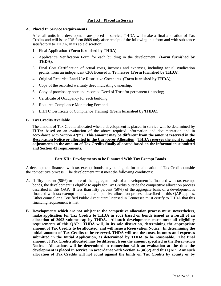#### **Part XI: Placed In Service**

#### **A. Placed In Service Requirements**

After all units in a development are placed in service, THDA will make a final allocation of Tax Credits and will issue IRS form 8609 only after receipt of the following in a form and with substance satisfactory to THDA, in its sole discretion:

- 1. Final Application (**Form furnished by THDA**);
- 2. Applicant's Verification Form for each building in the development (**Form furnished by THDA**);
- 3. Final Cost Certification of actual costs, incomes and expenses, including actual syndication profits, from an independent CPA licensed in Tennessee (**Form furnished by THDA**);
- 4. Original Recorded Land Use Restrictive Covenants (**Form furnished by THDA**);
- 5. Copy of the recorded warranty deed indicating ownership;
- 6. Copy of promissory note and recorded Deed of Trust for permanent financing;
- 7. Certificate of Occupancy for each building;
- 8. Required Compliance Monitoring Fee; and
- 9. LIHTC Certificate of Compliance Training (**Form furnished by THDA**)**.**

#### **B. Tax Credits Available**

The amount of Tax Credits allocated when a development is placed in service will be determined by THDA based on an evaluation of the above required information and documentation and in accordance with Section 42(m). **This amount may be different from the amount reserved in the Reservation Notice or allocated in the Carryover Allocation**. **THDA reserves the right to make adjustments in the amount of Tax Credits finally allocated based on the information submitted and Section 42 requirements.**

#### **Part XII: Developments to be Financed With Tax Exempt Bonds**

A development financed with tax-exempt bonds may be eligible for an allocation of Tax Credits outside the competitive process. The development must meet the following conditions:

- A. If fifty percent (50%) or more of the aggregate basis of a development is financed with tax-exempt bonds, the development is eligible to apply for Tax Credits outside the competitive allocation process described in this QAP. If less than fifty percent (50%) of the aggregate basis of a development is financed with tax-exempt bonds, the competitive allocation process described in this QAP applies. Either counsel or a Certified Public Accountant licensed in Tennessee must certify to THDA that this financing requirement is met.
- **B. Developments which are not subject to the competitive allocation process must, nevertheless, make application for Tax Credits to THDA in 2002 based on bonds issued as a result of an allocation of 2002 volume cap by THDA. All such developments must meet all eligibility requirements of this QAP. THDA will, in its sole discretion, determining the appropriate amount of Tax Credits to be allocated, and will issue a Reservation Notice. In determining the initial amount of Tax Credits to be reserved, THDA will use the costs, incomes and expenses submitted in the Initial Application, as determined by THDA to be reasonable. The final amount of Tax Credits allocated may be different from the amount specified in the Reservation Notice. Allocations will be determined in connection with an evaluation at the time the development is placed in service, in accordance with Section 42(m)(2) and this QAP. Any such allocation of Tax Credits will not count against the limits on Tax Credits by county or by**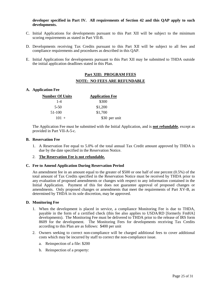#### **developer specified in Part IV. All requirements of Section 42 and this QAP apply to such developments.**

- C. Initial Applications for developments pursuant to this Part XII will be subject to the minimum scoring requirements as stated in Part VII-B.
- D. Developments receiving Tax Credits pursuant to this Part XII will be subject to all fees and compliance requirements and procedures as described in this QAP.
- E. Initial Applications for developments pursuant to this Part XII may be submitted to THDA outside the initial application deadlines stated in this Plan.

### **Part XIII: PROGRAM FEES NOTE: NO FEES ARE REFUNDABLE**

#### **A. Application Fee**

| <b>Number Of Units</b> | <b>Application Fee</b> |
|------------------------|------------------------|
| $1 - 4$                | \$300                  |
| $5-50$                 | \$1,200                |
| 51-100                 | \$1,700                |
| $101 +$                | \$30 per unit          |

The Application Fee must be submitted with the Initial Application, and is **not refundable**, except as provided in Part VII-A-5-c.

#### **B. Reservation Fee**

1. A Reservation Fee equal to 5.0% of the total annual Tax Credit amount approved by THDA is due by the date specified in the Reservation Notice.

#### 2. **The Reservation Fee is not refundable.**

#### **C. Fee to Amend Application During Reservation Period**

An amendment fee in an amount equal to the greater of \$500 or one half of one percent (0.5%) of the total amount of Tax Credits specified in the Reservation Notice must be received by THDA prior to any evaluation of proposed amendments or changes with respect to any information contained in the Initial Application. Payment of this fee does not guarantee approval of proposed changes or amendments. Only proposed changes or amendments that meet the requirements of Part XV-B, as determined by THDA in its sole discretion, may be approved.

#### **D. Monitoring Fee**

- 1. When the development is placed in service, a compliance Monitoring Fee is due to THDA, payable in the form of a certified check (this fee also applies to USDA/RD [formerly FmHA] developments). The Monitoring Fee must be delivered to THDA prior to the release of IRS form 8609 for the development. The Monitoring Fees for developments receiving Tax Credits according to this Plan are as follows: \$400 per unit
- 2. Owners seeking to correct non-compliance will be charged additional fees to cover additional costs which may be incurred by staff to correct the non-compliance issue.
	- a. Reinspection of a file: \$200
	- b. Reinspection of a property: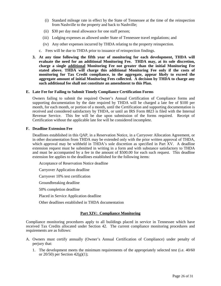- (i) Standard mileage rate in effect by the State of Tennessee at the time of the reinspection from Nashville to the property and back to Nashville;
- (ii) \$30 per day meal allowance for one staff person;
- (iii) Lodging expenses as allowed under State of Tennessee travel regulations; and
- (iv) Any other expenses incurred by THDA relating to the property reinspection.
- c. Fees will be due to THDA prior to issuance of reinspection findings.
- **3. At any time following the fifth year of monitoring for each development, THDA will evaluate the need for an additional Monitoring Fee. THDA may, at its sole discretion, charge a single additional Monitoring Fee not greater than the initial Monitoring Fee stated above. THDA will charge this additional Monitoring Fee only if the costs of monitoring for Tax Credit compliance, in the aggregate, appear likely to exceed the aggregate amount of initial Monitoring Fees collected. A decision by THDA to charge any such additional fee shall not constitute an amendment to this Plan.**

#### **E. Late Fee for Failing to Submit Timely Compliance Certification Forms**

Owners failing to submit the required Owner's Annual Certification of Compliance forms and supporting documentation by the date required by THDA will be charged a late fee of \$100 per month, for each month, or portion of a month, until the Certification and supporting documentation is received and considered satisfactory by THDA, or until an IRS Form 8823 is filed with the Internal Revenue Service. This fee will be due upon submission of the forms required. Receipt of Certification without the applicable late fee will be considered incomplete.

#### **F. Deadline Extension Fee**

Deadlines established in this QAP, in a Reservation Notice, in a Carryover Allocation Agreement, or in other documentation from THDA may be extended only with the prior written approval of THDA, which approval may be withheld in THDA's sole discretion as specified in Part XV. A deadline extension request must be submitted in writing in a form and with substance satisfactory to THDA and must be accompanied by a fee in the amount of \$500.00 for each such request. This deadline extension fee applies to the deadlines established for the following items:

Acceptance of Reservation Notice deadline

Carryover Application deadline

Carryover 10% test certification

Groundbreaking deadline

50% completion deadline

Placed in Service Application deadline

Other deadlines established in THDA documentation

#### **Part XIV: Compliance Monitoring**

Compliance monitoring procedures apply to all buildings placed in service in Tennessee which have received Tax Credits allocated under Section 42. The current compliance monitoring procedures and requirements are as follows:

- A. Owners must certify annually (Owner's Annual Certification of Compliance) under penalty of perjury that:
	- 1. The development meets the minimum requirements of the appropriately selected test (i.e. 40/60 or 20/50) per Section  $42(g)(1)$ ;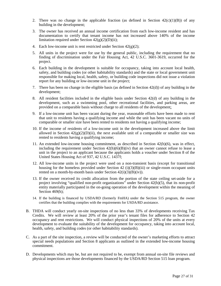- 2. There was no change in the applicable fraction (as defined in Section  $42(c)(1)(B)$ ) of any building in the development;
- 3. The owner has received an annual income certification from each low-income resident and has documentation to certify that tenant income has not increased above 140% of the income limitation required under Section  $42(g)(2)(D)(ii)$ ;
- 4. Each low-income unit is rent restricted under Section  $42(g)(2)$ ;
- 5. All units in the project were for use by the general public, including the requirement that no finding of discrimination under the Fair Housing Act, 42 U.S.C. 3601-3619, occurred for the project.
- 6. Each building in the development is suitable for occupancy, taking into account local health, safety, and building codes (or other habitability standards) and the state or local government unit responsible for making local, health, safety, or building code inspections did not issue a violation report for any building or low-income unit in the project;
- 7. There has been no change in the eligible basis (as defined in Section 42(d)) of any building in the development;
- 8. All resident facilities included in the eligible basis under Section 42(d) of any building in the development, such as a swimming pool, other recreational facilities, and parking areas, are provided on a comparable basis without charge to all residents of the development;
- 9. If a low-income unit has been vacant during the year, reasonable efforts have been made to rent that unit to residents having a qualifying income and while the unit has been vacant no units of comparable or smaller size have been rented to residents not having a qualifying income;
- 10. If the income of residents of a low-income unit in the development increased above the limit allowed in Section  $42(g)(2)(D)(ii)$ , the next available unit of a comparable or smaller size was rented to residents having a qualifying income;
- 11. An extended low-income housing commitment, as described in Section 42(h)(6), was in effect, including the requirement under Section  $42(h)(6)(B)(iv)$  that an owner cannot refuse to lease a unit in the project to an applicant because the applicants holds a voucher under Section 8 of the United States Housing Act of 937, 42 U.S.C. 1437f;
- 12. All low-income units in the project were used on a non-transient basis (except for transitional housing for the homeless provided under Section  $42$  (i)(3)(B)(iii) or single-room occupant units rented on a month-by-month basis under Section 42(i)(3)(B)(iv)).
- 13. If the owner received its credit allocation from the portion of the state ceiling set-aside for a project involving "qualified non-profit organizations" under Section 42(h)(5), that its non-profit entity materially participated in the on-going operation of the development within the meaning of Section 469(h);
- 14. If the building is financed by USDA/RD (formerly FmHA) under the Section 515 program, the owner certifies that the building complies with the requirements for USDA/RD assistance.
- B. THDA will conduct yearly on-site inspections of no less than 33% of developments receiving Tax Credits. We will review at least 20% of the prior year's tenant files for adherence to Section 42 occupancy and rent restrictions. We will conduct physical inspections of 20% of the units at every development to evaluate the suitability of the development for occupancy, taking into account local, health, safety, and building codes (or other habitability standards).
- C. As a part of the site inspection, a review will be conducted of the owner's marketing efforts to attract special needs populations and Section 8 applicants as outlined in the extended low-income housing commitment.
- D. Developments which may be, but are not required to be, exempt from annual on-site file reviews and physical inspections are those developments financed by the USDA/RD Section 515 loan program.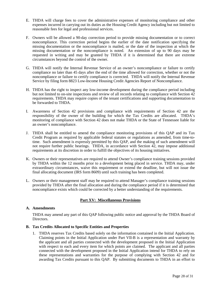- E. THDA will charge fees to cover the administrative expenses of monitoring compliance and other expenses incurred in carrying out its duties as the Housing Credit Agency including but not limited to reasonable fees for legal and professional services.
- F. Owners will be allowed a 90-day correction period to provide missing documentation or to correct noncompliance. This correction period begins the earlier of the date notification specifying the missing documentation or the noncompliance is mailed, or the date of the inspection at which the missing documentation or the noncompliance is noted. An extension of up to 90 days may be requested in writing and may be granted by THDA if it is determined that there are extreme circumstances beyond the control of the owner.
- G. THDA will notify the Internal Revenue Service of an owner's noncompliance or failure to certify compliance no later than 45 days after the end of the time allowed for correction, whether or not the noncompliance or failure to certify compliance is corrected. THDA will notify the Internal Revenue Service by filing form 8823 Low-Income Housing Credit Agencies Report of Noncompliance.
- H. THDA has the right to inspect any low-income development during the compliance period including but not limited to on-site inspections and review of all records relating to compliance with Section 42 requirements. THDA may require copies of the tenant certifications and supporting documentation to be forwarded to THDA.
- I. Awareness of Section 42 provisions and compliance with requirements of Section 42 are the responsibility of the owner of the building for which the Tax Credits are allocated. THDA's monitoring of compliance with Section 42 does not make THDA or the State of Tennessee liable for an owner's noncompliance.
- J. THDA shall be entitled to amend the compliance monitoring provisions of this QAP and its Tax Credit Program as required by applicable federal statutes or regulations as amended, from time-totime. Such amendment is expressly permitted by this QAP, and the making of such amendment will not require further public hearings. THDA, in accordance with Section 42, may impose additional requirements at its discretion in order to fulfill the objectives of its housing initiatives.
- K. Owners or their representatives are required to attend Owner's compliance training sessions provided by THDA within the 12 months prior to a development being placed in service. THDA may, under extraordinary circumstances, waive this requirement or extend the deadline, but will not issue the final allocating document (IRS form 8609) until such training has been completed.
- L. Owners or their management staff may be required to attend Manager's compliance training sessions provided by THDA after the final allocation and during the compliance period if it is determined that noncompliance exists which could be corrected by a better understanding of the requirements.

#### **Part XV: Miscellaneous Provisions**

#### **A. Amendments**

THDA may amend any part of this QAP following public notice and approval by the THDA Board of Directors.

#### **B. Tax Credits Allocated to Specific Entities and Properties**

1. THDA reserves Tax Credits based solely on the information contained in the Initial Application. Claiming points in the Initial Application under Part VII-B is a representation and warranty by the applicant and all parties connected with the development proposed in the Initial Application with respect to each and every item for which points are claimed. The applicant and all parties connected with the development proposed in the Initial Application intend for THDA to rely on these representations and warranties for the purpose of complying with Section 42 and for awarding Tax Credits pursuant to this QAP. By submitting documents to THDA in an effort to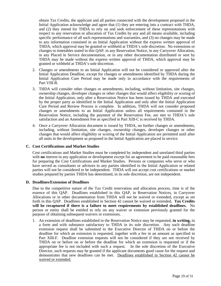obtain Tax Credits, the applicant and all parties connected with the development proposed in the Initial Application acknowledge and agree that (1) they are entering into a contract with THDA, and (2) they intend for THDA to rely on and seek enforcement of these representations with respect to any reservation or allocation of Tax Credits by any and all means available, including specific performance of all such representations and warranties, and (3) no changes may be made to any information contained in an Initial Application without the express written approval of THDA, which approval may be granted or withheld at THDA's sole discretion. No extensions or changes to timetables stated in this QAP, in any Reservation Notice, in any Carryover Allocation, in any Placed in Service documentation, or in any other documentation distributed or sent by THDA may be made without the express written approval of THDA, which approval may be granted or withheld at THDA's sole discretion.

- 2. Changes or amendments to an Initial Application will not be considered or approved after the Initial Application Deadline, except for changes or amendments identified by THDA during the Initial Application Cure Period may be made only in accordance with the requirements of Part VIII-B.
- 3. THDA will consider other changes or amendments, including, without limitation, site changes, ownership changes, developer changes or other changes that would affect eligibility or scoring of the Initial Application, only after a Reservation Notice has been issued by THDA and executed by the proper party as identified in the Initial Application and only after the Initial Application Cure Period and Review Process is complete. In addition, THDA will not consider proposed changes or amendments to an Initial Application unless all requirements contained in the Reservation Notice, including the payment of the Reservation Fee, are met to THDA's sole satisfaction and an Amendment Fee as specified in Part XIII-C is received by THDA.
- 4. Once a Carryover Allocation document is issued by THDA, no further changes or amendments, including, without limitation, site changes, ownership changes, developer changes or other changes that would affect eligibility or scoring of the Initial Application are permitted until after all units in the development as proposed in the Initial Application are placed in service.

#### **C. Cost Certifications and Market Studies**

Cost certifications and Market Studies must be completed by independent and unrelated third parties with **no** interest in any application or development except for an agreement to be paid reasonable fees for preparing the Cost Certifications and Market Studies. Persons or companies who serve or who have served as consultants or advisors to any parties identified in the Initial Application or related parties will not be considered to be independent. THDA will not accept cost certifications or market studies prepared by parties THDA has determined, in its sole discretion, are not independent.

#### **D. Deadlines/Extension of Deadlines**

Due to the competitive nature of the Tax Credit reservation and allocation process, time is of the essence of this QAP. Deadlines established in this QAP, in Reservation Notices, in Carryover Allocations or in other documentation from THDA will not be waived or extended, except as set forth in this QAP. Deadlines established in Section 42 cannot be waived or extended**. Tax Credits will be recaptured if there is a failure to meet requirements by established deadlines.** No person or entity shall be entitled to rely on any waiver or extension previously granted for the purpose of obtaining subsequent waivers or extensions.

1. An extension of deadlines established in the Reservation Notice may be requested, **in writing,** in a form and with substance satisfactory to THDA in its sole discretion. Any such deadline extension request shall be submitted to the Executive Director of THDA on or before the deadline for which an extension is requested, together with a fee in an amount as specified in Part XIII-F. Deadline extension requests will not be considered if they are not received by THDA on or before on or before the deadline for which an extension is requested or if the appropriate fee is not included with such a request. In the sole discretion of the Executive Director, such requests may be granted if the applicant documents good cause for the request and demonstrates that new deadlines can be met. Deadlines established in Section 42 cannot be waived or extended.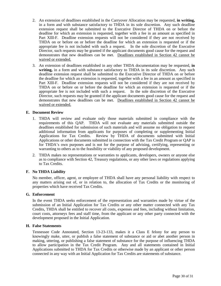- 2. An extension of deadlines established in the Carryover Allocation may be requested, **in writing,** in a form and with substance satisfactory to THDA in its sole discretion. Any such deadline extension request shall be submitted to the Executive Director of THDA on or before the deadline for which an extension is requested, together with a fee in an amount as specified in Part XIII-F. Deadline extension requests will not be considered if they are not received by THDA on or before on or before the deadline for which an extension is requested or if the appropriate fee is not included with such a request. In the sole discretion of the Executive Director, such requests may be granted if the applicant documents good cause for the request and demonstrates that new deadlines can be met. Deadlines established in Section 42 cannot be waived or extended.
- 3. An extension of deadlines established in any other THDA documentation may be requested, **in writing,** in a form and with substance satisfactory to THDA in its sole discretion. Any such deadline extension request shall be submitted to the Executive Director of THDA on or before the deadline for which an extension is requested, together with a fee in an amount as specified in Part XIII-F. Deadline extension requests will not be considered if they are not received by THDA on or before on or before the deadline for which an extension is requested or if the appropriate fee is not included with such a request. In the sole discretion of the Executive Director, such requests may be granted if the applicant documents good cause for the request and demonstrates that new deadlines can be met. Deadlines established in Section 42 cannot be waived or extended.

#### **E. Document Review**

- 1. THDA will review and evaluate only those materials submitted in compliance with the requirements of this QAP. THDA will not evaluate any materials submitted outside the deadlines established for submission of such materials and will assume no obligation to request additional information from applicants for purposes of completing or supplementing Initial Applications for Tax Credits. Review by THDA of documents submitted with Initial Applications or other documents submitted in connection with the Tax Credit Program or QAP is for THDA's own purposes and is not for the purpose of advising, certifying, representing or warranting to others as to the feasibility or viability of any proposed development.
- 2. THDA makes no representations or warranties to applicants, developers, owners or anyone else as to compliance with Section 42, Treasury regulations, or any other laws or regulations applying to Tax Credits.

#### **F. No THDA Liability**

No member, officer, agent, or employee of THDA shall have any personal liability with respect to any matters arising out of, or in relation to, the allocation of Tax Credits or the monitoring of properties which have received Tax Credits.

#### **G. Enforcement**

In the event THDA seeks enforcement of the representation and warranties made by virtue of the submission of an Initial Application for Tax Credits or any other matter connected with any Tax Credits, THDA shall be entitled to recover all costs, expenses and fees, including without limitation, court costs, attorneys fees and staff time, from the applicant or any other party connected with the development proposed in the Initial Application.

#### **H. False Statements**

Tennessee Code Annotated, Section 13-23-133, makes it a Class E felony for any person to knowingly make, utter, or publish a false statement of substance or aid or abet another person in making, uttering, or publishing a false statement of substance for the purpose of influencing THDA to allow participation in the Tax Credit Program. Any and all statements contained in Initial Applications submitted to THDA for Tax Credits or otherwise made by an applicant or other person connected in any way with an Initial Application for Tax Credits are statements of substance.